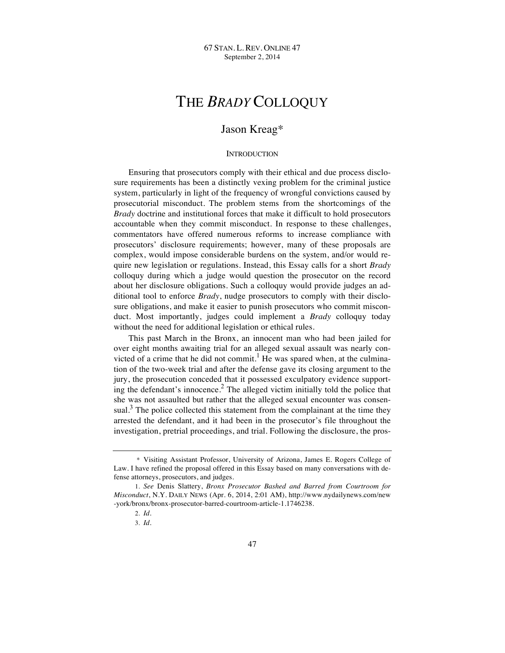# THE *BRADY* COLLOQUY

# Jason Kreag\*

# **INTRODUCTION**

Ensuring that prosecutors comply with their ethical and due process disclosure requirements has been a distinctly vexing problem for the criminal justice system, particularly in light of the frequency of wrongful convictions caused by prosecutorial misconduct. The problem stems from the shortcomings of the *Brady* doctrine and institutional forces that make it difficult to hold prosecutors accountable when they commit misconduct. In response to these challenges, commentators have offered numerous reforms to increase compliance with prosecutors' disclosure requirements; however, many of these proposals are complex, would impose considerable burdens on the system, and/or would require new legislation or regulations. Instead, this Essay calls for a short *Brady* colloquy during which a judge would question the prosecutor on the record about her disclosure obligations. Such a colloquy would provide judges an additional tool to enforce *Brady*, nudge prosecutors to comply with their disclosure obligations, and make it easier to punish prosecutors who commit misconduct. Most importantly, judges could implement a *Brady* colloquy today without the need for additional legislation or ethical rules.

This past March in the Bronx, an innocent man who had been jailed for over eight months awaiting trial for an alleged sexual assault was nearly convicted of a crime that he did not commit.<sup>1</sup> He was spared when, at the culmination of the two-week trial and after the defense gave its closing argument to the jury, the prosecution conceded that it possessed exculpatory evidence supporting the defendant's innocence.<sup>2</sup> The alleged victim initially told the police that she was not assaulted but rather that the alleged sexual encounter was consensual.<sup>3</sup> The police collected this statement from the complainant at the time they arrested the defendant, and it had been in the prosecutor's file throughout the investigation, pretrial proceedings, and trial. Following the disclosure, the pros-

<sup>\*</sup> Visiting Assistant Professor, University of Arizona, James E. Rogers College of Law. I have refined the proposal offered in this Essay based on many conversations with defense attorneys, prosecutors, and judges.

<sup>1.</sup> *See* Denis Slattery, *Bronx Prosecutor Bashed and Barred from Courtroom for Misconduct*, N.Y. DAILY NEWS (Apr. 6, 2014, 2:01 AM), http://www.nydailynews.com/new -york/bronx/bronx-prosecutor-barred-courtroom-article-1.1746238.

<sup>2.</sup> *Id.*

<sup>3.</sup> *Id.*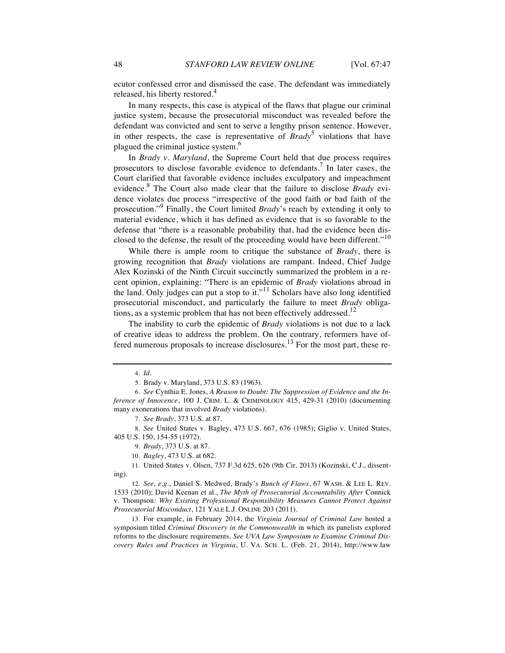ecutor confessed error and dismissed the case. The defendant was immediately released, his liberty restored.<sup>4</sup>

In many respects, this case is atypical of the flaws that plague our criminal justice system, because the prosecutorial misconduct was revealed before the defendant was convicted and sent to serve a lengthy prison sentence. However, in other respects, the case is representative of  $Brady^5$  violations that have plagued the criminal justice system.<sup>6</sup>

In *Brady v. Maryland*, the Supreme Court held that due process requires prosecutors to disclose favorable evidence to defendants.<sup>7</sup> In later cases, the Court clarified that favorable evidence includes exculpatory and impeachment evidence.<sup>8</sup> The Court also made clear that the failure to disclose *Brady* evidence violates due process "irrespective of the good faith or bad faith of the prosecution."<sup>9</sup> Finally, the Court limited *Brady*'s reach by extending it only to material evidence, which it has defined as evidence that is so favorable to the defense that "there is a reasonable probability that, had the evidence been disclosed to the defense, the result of the proceeding would have been different."<sup>10</sup>

While there is ample room to critique the substance of *Brady*, there is growing recognition that *Brady* violations are rampant. Indeed, Chief Judge Alex Kozinski of the Ninth Circuit succinctly summarized the problem in a recent opinion, explaining: "There is an epidemic of *Brady* violations abroad in the land. Only judges can put a stop to it."<sup>11</sup> Scholars have also long identified prosecutorial misconduct, and particularly the failure to meet *Brady* obligations, as a systemic problem that has not been effectively addressed. $12$ 

The inability to curb the epidemic of *Brady* violations is not due to a lack of creative ideas to address the problem. On the contrary, reformers have offered numerous proposals to increase disclosures.<sup>13</sup> For the most part, these re-

7. *See Brady*, 373 U.S. at 87.

12. *See, e.g.*, Daniel S. Medwed, Brady*'s Bunch of Flaws*, 67 WASH. & LEE L. REV. 1533 (2010); David Keenan et al., *The Myth of Prosecutorial Accountability After* Connick v. Thompson*: Why Existing Professional Responsibility Measures Cannot Protect Against Prosecutorial Misconduct*, 121 YALE L.J. ONLINE 203 (2011).

13. For example, in February 2014, the *Virginia Journal of Criminal Law* hosted a symposium titled *Criminal Discovery in the Commonwealth* in which its panelists explored reforms to the disclosure requirements. *See UVA Law Symposium to Examine Criminal Discovery Rules and Practices in Virginia*, U. VA. SCH. L. (Feb. 21, 2014), http://www.law

<sup>4.</sup> *Id.*

<sup>5.</sup> Brady v. Maryland, 373 U.S. 83 (1963).

<sup>6.</sup> *See* Cynthia E. Jones, *A Reason to Doubt: The Suppression of Evidence and the Inference of Innocence*, 100 J. CRIM. L. & CRIMINOLOGY 415, 429-31 (2010) (documenting many exonerations that involved *Brady* violations).

<sup>8.</sup> *See* United States v. Bagley, 473 U.S. 667, 676 (1985); Giglio v. United States, 405 U.S. 150, 154-55 (1972).

<sup>9.</sup> *Brady*, 373 U.S. at 87.

<sup>10.</sup> *Bagley*, 473 U.S. at 682.

<sup>11.</sup> United States v. Olsen, 737 F.3d 625, 626 (9th Cir. 2013) (Kozinski, C.J., dissenting).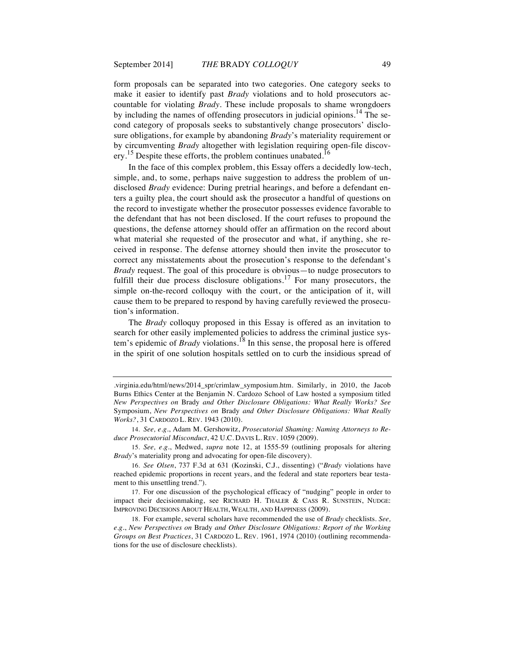form proposals can be separated into two categories. One category seeks to make it easier to identify past *Brady* violations and to hold prosecutors accountable for violating *Brady*. These include proposals to shame wrongdoers by including the names of offending prosecutors in judicial opinions.<sup>14</sup> The second category of proposals seeks to substantively change prosecutors' disclosure obligations, for example by abandoning *Brady*'s materiality requirement or by circumventing *Brady* altogether with legislation requiring open-file discovery.<sup>15</sup> Despite these efforts, the problem continues unabated.<sup>16</sup>

In the face of this complex problem, this Essay offers a decidedly low-tech, simple, and, to some, perhaps naive suggestion to address the problem of undisclosed *Brady* evidence: During pretrial hearings, and before a defendant enters a guilty plea, the court should ask the prosecutor a handful of questions on the record to investigate whether the prosecutor possesses evidence favorable to the defendant that has not been disclosed. If the court refuses to propound the questions, the defense attorney should offer an affirmation on the record about what material she requested of the prosecutor and what, if anything, she received in response. The defense attorney should then invite the prosecutor to correct any misstatements about the prosecution's response to the defendant's *Brady* request. The goal of this procedure is obvious—to nudge prosecutors to fulfill their due process disclosure obligations.<sup>17</sup> For many prosecutors, the simple on-the-record colloquy with the court, or the anticipation of it, will cause them to be prepared to respond by having carefully reviewed the prosecution's information.

The *Brady* colloquy proposed in this Essay is offered as an invitation to search for other easily implemented policies to address the criminal justice system's epidemic of *Brady* violations.<sup>18</sup> In this sense, the proposal here is offered in the spirit of one solution hospitals settled on to curb the insidious spread of

<sup>.</sup>virginia.edu/html/news/2014\_spr/crimlaw\_symposium.htm. Similarly, in 2010, the Jacob Burns Ethics Center at the Benjamin N. Cardozo School of Law hosted a symposium titled *New Perspectives on* Brady *and Other Disclosure Obligations: What Really Works? See* Symposium, *New Perspectives on* Brady *and Other Disclosure Obligations: What Really Works?*, 31 CARDOZO L. REV. 1943 (2010).

<sup>14.</sup> *See, e.g.*, Adam M. Gershowitz, *Prosecutorial Shaming: Naming Attorneys to Reduce Prosecutorial Misconduct*, 42 U.C. DAVIS L. REV. 1059 (2009).

<sup>15.</sup> *See, e.g.*, Medwed, *supra* note 12, at 1555-59 (outlining proposals for altering *Brady*'s materiality prong and advocating for open-file discovery).

<sup>16.</sup> *See Olsen*, 737 F.3d at 631 (Kozinski, C.J., dissenting) ("*Brady* violations have reached epidemic proportions in recent years, and the federal and state reporters bear testament to this unsettling trend.").

<sup>17.</sup> For one discussion of the psychological efficacy of "nudging" people in order to impact their decisionmaking, see RICHARD H. THALER & CASS R. SUNSTEIN, NUDGE: IMPROVING DECISIONS ABOUT HEALTH, WEALTH, AND HAPPINESS (2009).

<sup>18.</sup> For example, several scholars have recommended the use of *Brady* checklists. *See, e.g.*, *New Perspectives on* Brady *and Other Disclosure Obligations: Report of the Working Groups on Best Practices*, 31 CARDOZO L. REV. 1961, 1974 (2010) (outlining recommendations for the use of disclosure checklists).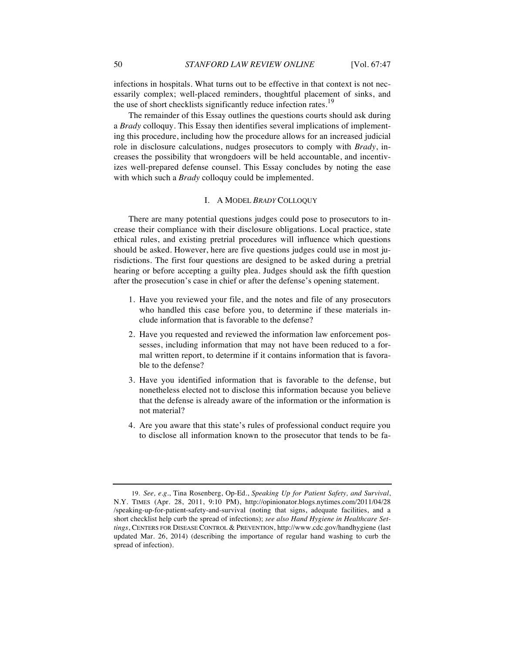infections in hospitals. What turns out to be effective in that context is not necessarily complex; well-placed reminders, thoughtful placement of sinks, and the use of short checklists significantly reduce infection rates.<sup>19</sup>

The remainder of this Essay outlines the questions courts should ask during a *Brady* colloquy. This Essay then identifies several implications of implementing this procedure, including how the procedure allows for an increased judicial role in disclosure calculations, nudges prosecutors to comply with *Brady*, increases the possibility that wrongdoers will be held accountable, and incentivizes well-prepared defense counsel. This Essay concludes by noting the ease with which such a *Brady* colloquy could be implemented.

#### I. A MODEL *BRADY* COLLOQUY

There are many potential questions judges could pose to prosecutors to increase their compliance with their disclosure obligations. Local practice, state ethical rules, and existing pretrial procedures will influence which questions should be asked. However, here are five questions judges could use in most jurisdictions. The first four questions are designed to be asked during a pretrial hearing or before accepting a guilty plea. Judges should ask the fifth question after the prosecution's case in chief or after the defense's opening statement.

- 1. Have you reviewed your file, and the notes and file of any prosecutors who handled this case before you, to determine if these materials include information that is favorable to the defense?
- 2. Have you requested and reviewed the information law enforcement possesses, including information that may not have been reduced to a formal written report, to determine if it contains information that is favorable to the defense?
- 3. Have you identified information that is favorable to the defense, but nonetheless elected not to disclose this information because you believe that the defense is already aware of the information or the information is not material?
- 4. Are you aware that this state's rules of professional conduct require you to disclose all information known to the prosecutor that tends to be fa-

<sup>19.</sup> *See, e.g.*, Tina Rosenberg, Op-Ed., *Speaking Up for Patient Safety, and Survival*, N.Y. TIMES (Apr. 28, 2011, 9:10 PM), http://opinionator.blogs.nytimes.com/2011/04/28 /speaking-up-for-patient-safety-and-survival (noting that signs, adequate facilities, and a short checklist help curb the spread of infections); *see also Hand Hygiene in Healthcare Settings*, CENTERS FOR DISEASE CONTROL & PREVENTION, http://www.cdc.gov/handhygiene (last updated Mar. 26, 2014) (describing the importance of regular hand washing to curb the spread of infection).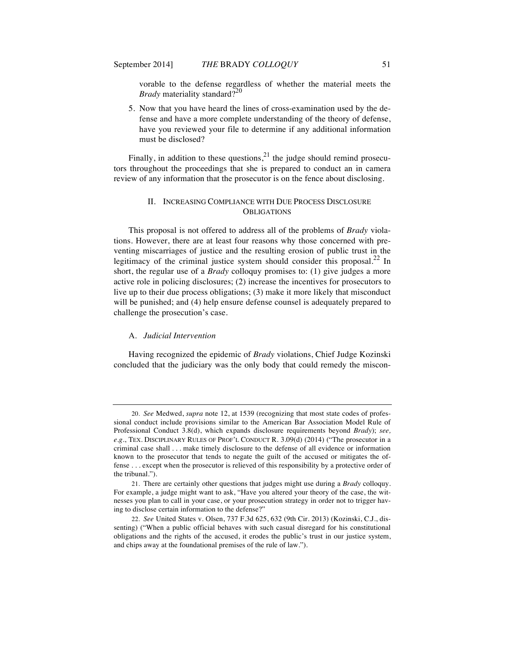vorable to the defense regardless of whether the material meets the *Brady* materiality standard?<sup>20</sup>

5. Now that you have heard the lines of cross-examination used by the defense and have a more complete understanding of the theory of defense, have you reviewed your file to determine if any additional information must be disclosed?

Finally, in addition to these questions,  $2<sup>1</sup>$  the judge should remind prosecutors throughout the proceedings that she is prepared to conduct an in camera review of any information that the prosecutor is on the fence about disclosing.

# II. INCREASING COMPLIANCE WITH DUE PROCESS DISCLOSURE **OBLIGATIONS**

This proposal is not offered to address all of the problems of *Brady* violations. However, there are at least four reasons why those concerned with preventing miscarriages of justice and the resulting erosion of public trust in the legitimacy of the criminal justice system should consider this proposal.<sup>22</sup> In short, the regular use of a *Brady* colloquy promises to: (1) give judges a more active role in policing disclosures; (2) increase the incentives for prosecutors to live up to their due process obligations; (3) make it more likely that misconduct will be punished; and (4) help ensure defense counsel is adequately prepared to challenge the prosecution's case.

# A. *Judicial Intervention*

Having recognized the epidemic of *Brady* violations, Chief Judge Kozinski concluded that the judiciary was the only body that could remedy the miscon-

<sup>20.</sup> *See* Medwed, *supra* note 12, at 1539 (recognizing that most state codes of professional conduct include provisions similar to the American Bar Association Model Rule of Professional Conduct 3.8(d), which expands disclosure requirements beyond *Brady*); *see, e.g.*, TEX. DISCIPLINARY RULES OF PROF'L CONDUCT R. 3.09(d) (2014) ("The prosecutor in a criminal case shall . . . make timely disclosure to the defense of all evidence or information known to the prosecutor that tends to negate the guilt of the accused or mitigates the offense . . . except when the prosecutor is relieved of this responsibility by a protective order of the tribunal.").

<sup>21.</sup> There are certainly other questions that judges might use during a *Brady* colloquy. For example, a judge might want to ask, "Have you altered your theory of the case, the witnesses you plan to call in your case, or your prosecution strategy in order not to trigger having to disclose certain information to the defense?"

<sup>22.</sup> *See* United States v. Olsen, 737 F.3d 625, 632 (9th Cir. 2013) (Kozinski, C.J., dissenting) ("When a public official behaves with such casual disregard for his constitutional obligations and the rights of the accused, it erodes the public's trust in our justice system, and chips away at the foundational premises of the rule of law.").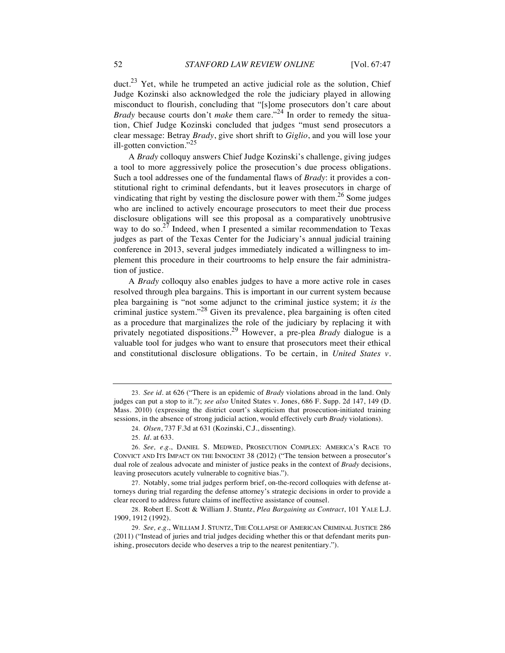duct.<sup>23</sup> Yet, while he trumpeted an active judicial role as the solution, Chief Judge Kozinski also acknowledged the role the judiciary played in allowing misconduct to flourish, concluding that "[s]ome prosecutors don't care about *Brady* because courts don't *make* them care."<sup>24</sup> In order to remedy the situation, Chief Judge Kozinski concluded that judges "must send prosecutors a clear message: Betray *Brady*, give short shrift to *Giglio*, and you will lose your ill-gotten conviction."<sup>25</sup>

A *Brady* colloquy answers Chief Judge Kozinski's challenge, giving judges a tool to more aggressively police the prosecution's due process obligations. Such a tool addresses one of the fundamental flaws of *Brady*: it provides a constitutional right to criminal defendants, but it leaves prosecutors in charge of vindicating that right by vesting the disclosure power with them.<sup>26</sup> Some judges who are inclined to actively encourage prosecutors to meet their due process disclosure obligations will see this proposal as a comparatively unobtrusive way to do so.<sup>27</sup> Indeed, when I presented a similar recommendation to Texas judges as part of the Texas Center for the Judiciary's annual judicial training conference in 2013, several judges immediately indicated a willingness to implement this procedure in their courtrooms to help ensure the fair administration of justice.

A *Brady* colloquy also enables judges to have a more active role in cases resolved through plea bargains. This is important in our current system because plea bargaining is "not some adjunct to the criminal justice system; it *is* the criminal justice system."<sup>28</sup> Given its prevalence, plea bargaining is often cited as a procedure that marginalizes the role of the judiciary by replacing it with privately negotiated dispositions.<sup>29</sup> However, a pre-plea *Brady* dialogue is a valuable tool for judges who want to ensure that prosecutors meet their ethical and constitutional disclosure obligations. To be certain, in *United States v.* 

<sup>23.</sup> *See id.* at 626 ("There is an epidemic of *Brady* violations abroad in the land. Only judges can put a stop to it."); *see also* United States v. Jones, 686 F. Supp. 2d 147, 149 (D. Mass. 2010) (expressing the district court's skepticism that prosecution-initiated training sessions, in the absence of strong judicial action, would effectively curb *Brady* violations).

<sup>24.</sup> *Olsen*, 737 F.3d at 631 (Kozinski, C.J., dissenting).

<sup>25.</sup> *Id.* at 633.

<sup>26.</sup> *See, e.g.*, DANIEL S. MEDWED, PROSECUTION COMPLEX: AMERICA'S RACE TO CONVICT AND ITS IMPACT ON THE INNOCENT 38 (2012) ("The tension between a prosecutor's dual role of zealous advocate and minister of justice peaks in the context of *Brady* decisions, leaving prosecutors acutely vulnerable to cognitive bias.").

<sup>27.</sup> Notably, some trial judges perform brief, on-the-record colloquies with defense attorneys during trial regarding the defense attorney's strategic decisions in order to provide a clear record to address future claims of ineffective assistance of counsel.

<sup>28.</sup> Robert E. Scott & William J. Stuntz, *Plea Bargaining as Contract*, 101 YALE L.J. 1909, 1912 (1992).

<sup>29.</sup> *See, e.g.*, WILLIAM J. STUNTZ, THE COLLAPSE OF AMERICAN CRIMINAL JUSTICE 286 (2011) ("Instead of juries and trial judges deciding whether this or that defendant merits punishing, prosecutors decide who deserves a trip to the nearest penitentiary.").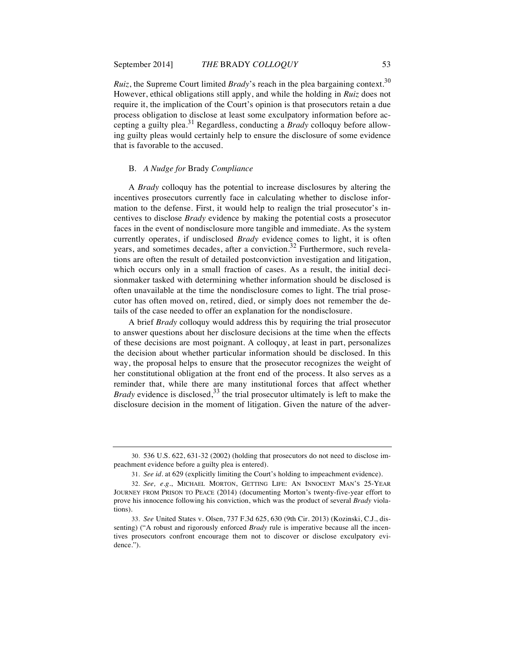*Ruiz*, the Supreme Court limited *Brady*'s reach in the plea bargaining context.<sup>30</sup> However, ethical obligations still apply, and while the holding in *Ruiz* does not require it, the implication of the Court's opinion is that prosecutors retain a due process obligation to disclose at least some exculpatory information before accepting a guilty plea.<sup>31</sup> Regardless, conducting a *Brady* colloquy before allowing guilty pleas would certainly help to ensure the disclosure of some evidence that is favorable to the accused.

## B. *A Nudge for* Brady *Compliance*

A *Brady* colloquy has the potential to increase disclosures by altering the incentives prosecutors currently face in calculating whether to disclose information to the defense. First, it would help to realign the trial prosecutor's incentives to disclose *Brady* evidence by making the potential costs a prosecutor faces in the event of nondisclosure more tangible and immediate. As the system currently operates, if undisclosed *Brady* evidence comes to light, it is often years, and sometimes decades, after a conviction.<sup>32</sup> Furthermore, such revelations are often the result of detailed postconviction investigation and litigation, which occurs only in a small fraction of cases. As a result, the initial decisionmaker tasked with determining whether information should be disclosed is often unavailable at the time the nondisclosure comes to light. The trial prosecutor has often moved on, retired, died, or simply does not remember the details of the case needed to offer an explanation for the nondisclosure.

A brief *Brady* colloquy would address this by requiring the trial prosecutor to answer questions about her disclosure decisions at the time when the effects of these decisions are most poignant. A colloquy, at least in part, personalizes the decision about whether particular information should be disclosed. In this way, the proposal helps to ensure that the prosecutor recognizes the weight of her constitutional obligation at the front end of the process. It also serves as a reminder that, while there are many institutional forces that affect whether *Brady* evidence is disclosed,<sup>33</sup> the trial prosecutor ultimately is left to make the disclosure decision in the moment of litigation. Given the nature of the adver-

<sup>30.</sup> 536 U.S. 622, 631-32 (2002) (holding that prosecutors do not need to disclose impeachment evidence before a guilty plea is entered).

<sup>31.</sup> *See id.* at 629 (explicitly limiting the Court's holding to impeachment evidence).

<sup>32.</sup> *See, e.g.*, MICHAEL MORTON, GETTING LIFE: AN INNOCENT MAN'S 25-YEAR JOURNEY FROM PRISON TO PEACE (2014) (documenting Morton's twenty-five-year effort to prove his innocence following his conviction, which was the product of several *Brady* violations).

<sup>33.</sup> *See* United States v. Olsen, 737 F.3d 625, 630 (9th Cir. 2013) (Kozinski, C.J., dissenting) ("A robust and rigorously enforced *Brady* rule is imperative because all the incentives prosecutors confront encourage them not to discover or disclose exculpatory evidence.").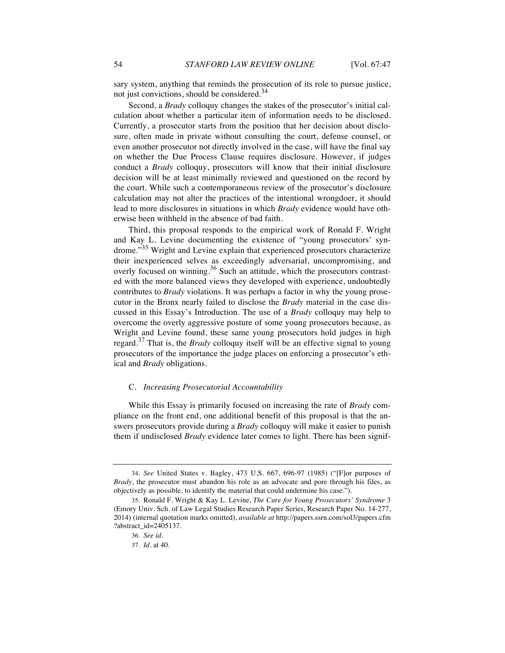sary system, anything that reminds the prosecution of its role to pursue justice, not just convictions, should be considered.<sup>34</sup>

Second, a *Brady* colloquy changes the stakes of the prosecutor's initial calculation about whether a particular item of information needs to be disclosed. Currently, a prosecutor starts from the position that her decision about disclosure, often made in private without consulting the court, defense counsel, or even another prosecutor not directly involved in the case, will have the final say on whether the Due Process Clause requires disclosure. However, if judges conduct a *Brady* colloquy, prosecutors will know that their initial disclosure decision will be at least minimally reviewed and questioned on the record by the court. While such a contemporaneous review of the prosecutor's disclosure calculation may not alter the practices of the intentional wrongdoer, it should lead to more disclosures in situations in which *Brady* evidence would have otherwise been withheld in the absence of bad faith.

Third, this proposal responds to the empirical work of Ronald F. Wright and Kay L. Levine documenting the existence of "young prosecutors' syndrome."<sup>35</sup> Wright and Levine explain that experienced prosecutors characterize their inexperienced selves as exceedingly adversarial, uncompromising, and overly focused on winning.<sup>36</sup> Such an attitude, which the prosecutors contrasted with the more balanced views they developed with experience, undoubtedly contributes to *Brady* violations. It was perhaps a factor in why the young prosecutor in the Bronx nearly failed to disclose the *Brady* material in the case discussed in this Essay's Introduction. The use of a *Brady* colloquy may help to overcome the overly aggressive posture of some young prosecutors because, as Wright and Levine found, these same young prosecutors hold judges in high regard.<sup>37</sup> That is, the *Brady* colloquy itself will be an effective signal to young prosecutors of the importance the judge places on enforcing a prosecutor's ethical and *Brady* obligations.

#### C. *Increasing Prosecutorial Accountability*

While this Essay is primarily focused on increasing the rate of *Brady* compliance on the front end, one additional benefit of this proposal is that the answers prosecutors provide during a *Brady* colloquy will make it easier to punish them if undisclosed *Brady* evidence later comes to light. There has been signif-

<sup>34.</sup> *See* United States v. Bagley, 473 U.S. 667, 696-97 (1985) ("[F]or purposes of *Brady*, the prosecutor must abandon his role as an advocate and pore through his files, as objectively as possible, to identify the material that could undermine his case.").

<sup>35.</sup> Ronald F. Wright & Kay L. Levine, *The Cure for Young Prosecutors' Syndrome* 3 (Emory Univ. Sch. of Law Legal Studies Research Paper Series, Research Paper No. 14-277, 2014) (internal quotation marks omitted), *available at* http://papers.ssrn.com/sol3/papers.cfm ?abstract\_id=2405137.

<sup>36.</sup> *See id.*

<sup>37.</sup> *Id.* at 40.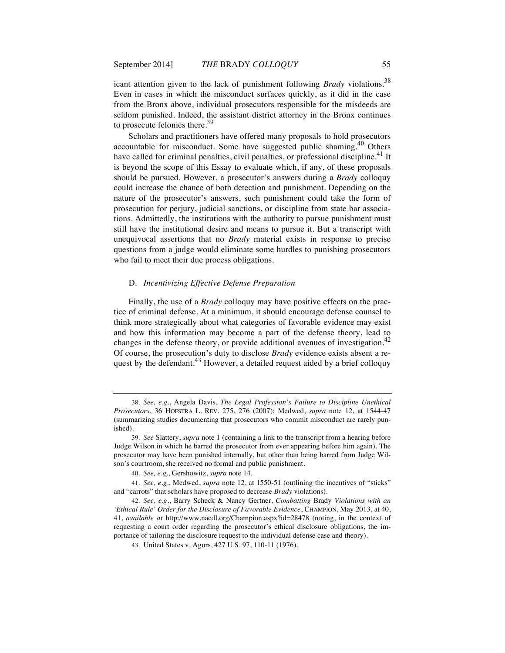icant attention given to the lack of punishment following *Brady* violations.<sup>38</sup> Even in cases in which the misconduct surfaces quickly, as it did in the case from the Bronx above, individual prosecutors responsible for the misdeeds are seldom punished. Indeed, the assistant district attorney in the Bronx continues to prosecute felonies there.<sup>39</sup>

Scholars and practitioners have offered many proposals to hold prosecutors accountable for misconduct. Some have suggested public shaming.<sup>40</sup> Others have called for criminal penalties, civil penalties, or professional discipline.<sup>41</sup> It is beyond the scope of this Essay to evaluate which, if any, of these proposals should be pursued. However, a prosecutor's answers during a *Brady* colloquy could increase the chance of both detection and punishment. Depending on the nature of the prosecutor's answers, such punishment could take the form of prosecution for perjury, judicial sanctions, or discipline from state bar associations. Admittedly, the institutions with the authority to pursue punishment must still have the institutional desire and means to pursue it. But a transcript with unequivocal assertions that no *Brady* material exists in response to precise questions from a judge would eliminate some hurdles to punishing prosecutors who fail to meet their due process obligations.

# D. *Incentivizing Effective Defense Preparation*

Finally, the use of a *Brady* colloquy may have positive effects on the practice of criminal defense. At a minimum, it should encourage defense counsel to think more strategically about what categories of favorable evidence may exist and how this information may become a part of the defense theory, lead to changes in the defense theory, or provide additional avenues of investigation.<sup>42</sup> Of course, the prosecution's duty to disclose *Brady* evidence exists absent a request by the defendant.<sup>43</sup> However, a detailed request aided by a brief colloquy

<sup>38.</sup> *See, e.g.*, Angela Davis, *The Legal Profession's Failure to Discipline Unethical Prosecutors*, 36 HOFSTRA L. REV. 275, 276 (2007); Medwed, *supra* note 12, at 1544-47 (summarizing studies documenting that prosecutors who commit misconduct are rarely punished).

<sup>39.</sup> *See* Slattery, *supra* note 1 (containing a link to the transcript from a hearing before Judge Wilson in which he barred the prosecutor from ever appearing before him again). The prosecutor may have been punished internally, but other than being barred from Judge Wilson's courtroom, she received no formal and public punishment.

<sup>40.</sup> *See, e.g.*, Gershowitz, *supra* note 14.

<sup>41.</sup> *See, e.g.*, Medwed, *supra* note 12, at 1550-51 (outlining the incentives of "sticks" and "carrots" that scholars have proposed to decrease *Brady* violations).

<sup>42.</sup> *See, e.g.*, Barry Scheck & Nancy Gertner, *Combatting* Brady *Violations with an 'Ethical Rule' Order for the Disclosure of Favorable Evidence*, CHAMPION, May 2013, at 40, 41, *available at* http://www.nacdl.org/Champion.aspx?id=28478 (noting, in the context of requesting a court order regarding the prosecutor's ethical disclosure obligations, the importance of tailoring the disclosure request to the individual defense case and theory).

<sup>43.</sup> United States v. Agurs, 427 U.S. 97, 110-11 (1976).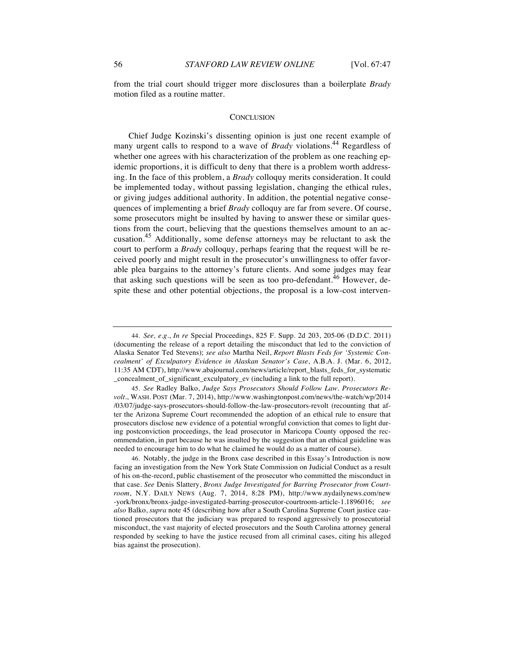from the trial court should trigger more disclosures than a boilerplate *Brady* motion filed as a routine matter.

# **CONCLUSION**

Chief Judge Kozinski's dissenting opinion is just one recent example of many urgent calls to respond to a wave of *Brady* violations.<sup>44</sup> Regardless of whether one agrees with his characterization of the problem as one reaching epidemic proportions, it is difficult to deny that there is a problem worth addressing. In the face of this problem, a *Brady* colloquy merits consideration. It could be implemented today, without passing legislation, changing the ethical rules, or giving judges additional authority. In addition, the potential negative consequences of implementing a brief *Brady* colloquy are far from severe. Of course, some prosecutors might be insulted by having to answer these or similar questions from the court, believing that the questions themselves amount to an accusation.<sup>45</sup> Additionally, some defense attorneys may be reluctant to ask the court to perform a *Brady* colloquy, perhaps fearing that the request will be received poorly and might result in the prosecutor's unwillingness to offer favorable plea bargains to the attorney's future clients. And some judges may fear that asking such questions will be seen as too pro-defendant.<sup>46</sup> However, despite these and other potential objections, the proposal is a low-cost interven-

45. *See* Radley Balko, *Judge Says Prosecutors Should Follow Law. Prosecutors Revolt.*, WASH. POST (Mar. 7, 2014), http://www.washingtonpost.com/news/the-watch/wp/2014 /03/07/judge-says-prosecutors-should-follow-the-law-prosecutors-revolt (recounting that after the Arizona Supreme Court recommended the adoption of an ethical rule to ensure that prosecutors disclose new evidence of a potential wrongful conviction that comes to light during postconviction proceedings, the lead prosecutor in Maricopa County opposed the recommendation, in part because he was insulted by the suggestion that an ethical guideline was needed to encourage him to do what he claimed he would do as a matter of course).

46. Notably, the judge in the Bronx case described in this Essay's Introduction is now facing an investigation from the New York State Commission on Judicial Conduct as a result of his on-the-record, public chastisement of the prosecutor who committed the misconduct in that case. *See* Denis Slattery, *Bronx Judge Investigated for Barring Prosecutor from Courtroom*, N.Y. DAILY NEWS (Aug. 7, 2014, 8:28 PM), http://www.nydailynews.com/new -york/bronx/bronx-judge-investigated-barring-prosecutor-courtroom-article-1.1896016; *see also* Balko, *supra* note 45 (describing how after a South Carolina Supreme Court justice cautioned prosecutors that the judiciary was prepared to respond aggressively to prosecutorial misconduct, the vast majority of elected prosecutors and the South Carolina attorney general responded by seeking to have the justice recused from all criminal cases, citing his alleged bias against the prosecution).

<sup>44.</sup> *See, e.g.*, *In re* Special Proceedings, 825 F. Supp. 2d 203, 205-06 (D.D.C. 2011) (documenting the release of a report detailing the misconduct that led to the conviction of Alaska Senator Ted Stevens); *see also* Martha Neil, *Report Blasts Feds for 'Systemic Concealment' of Exculpatory Evidence in Alaskan Senator's Case*, A.B.A. J. (Mar. 6, 2012, 11:35 AM CDT), http://www.abajournal.com/news/article/report\_blasts\_feds\_for\_systematic \_concealment\_of\_significant\_exculpatory\_ev (including a link to the full report).